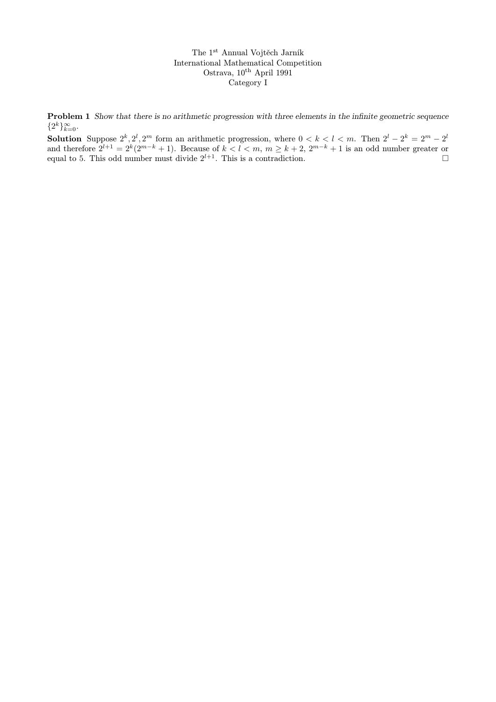The 1st Annual Vojtěch Jarník International Mathematical Competition Ostrava,  $10^{th}$  April 1991 Category I

Problem 1 Show that there is no arithmetic progression with three elements in the infinite geometric sequence  $\{2^k\}_{k=0}^{\infty}$ .

**Solution** Suppose  $2^k, 2^l, 2^m$  form an arithmetic progression, where  $0 < k < l < m$ . Then  $2^l - 2^k = 2^m - 2^l$ and therefore  $2^{l+1} = 2^k(2^{m-k} + 1)$ . Because of  $k < l < m$ ,  $m \ge k+2$ ,  $2^{m-k} + 1$  is an odd number greater or equal to 5. This odd number must divide  $2^{l+1}$ . This is a contradiction.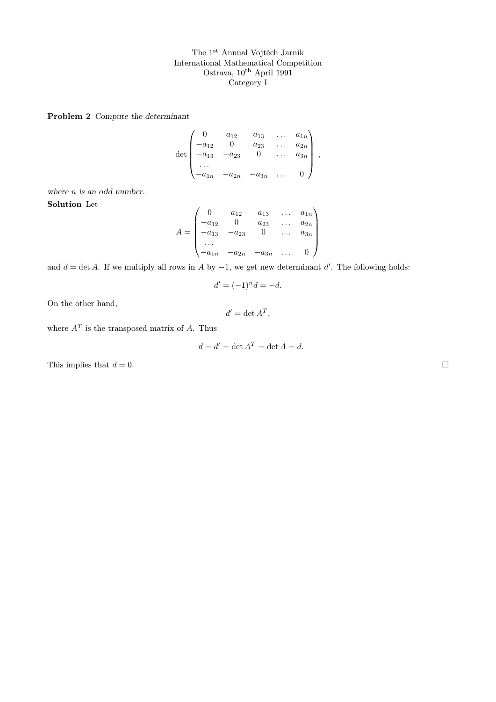The 1st Annual Vojtěch Jarník International Mathematical Competition Ostrava, 10<sup>th</sup> April 1991 Category I

Problem 2 Compute the determinant

$$
\det\begin{pmatrix}0 & a_{12} & a_{13} & \dots & a_{1n} \\-a_{12} & 0 & a_{23} & \dots & a_{2n} \\-a_{13} & -a_{23} & 0 & \dots & a_{3n} \\ \dots & \dots & \dots & \dots & \dots \\-a_{1n} & -a_{2n} & -a_{3n} & \dots & 0\end{pmatrix},
$$

where *n* is an odd number. Solution Let

$$
A = \begin{pmatrix} 0 & a_{12} & a_{13} & \dots & a_{1n} \\ -a_{12} & 0 & a_{23} & \dots & a_{2n} \\ -a_{13} & -a_{23} & 0 & \dots & a_{3n} \\ \dots & \dots & \dots & \dots & \dots & \dots \\ -a_{1n} & -a_{2n} & -a_{3n} & \dots & 0 \end{pmatrix}
$$

and  $d = \det A$ . If we multiply all rows in A by  $-1$ , we get new determinant d'. The following holds:

$$
d' = (-1)^n d = -d.
$$

On the other hand,

 $d' = \det A^T,$ 

where  $A<sup>T</sup>$  is the transposed matrix of A. Thus

$$
-d = d' = \det A^T = \det A = d.
$$

This implies that  $d = 0$ .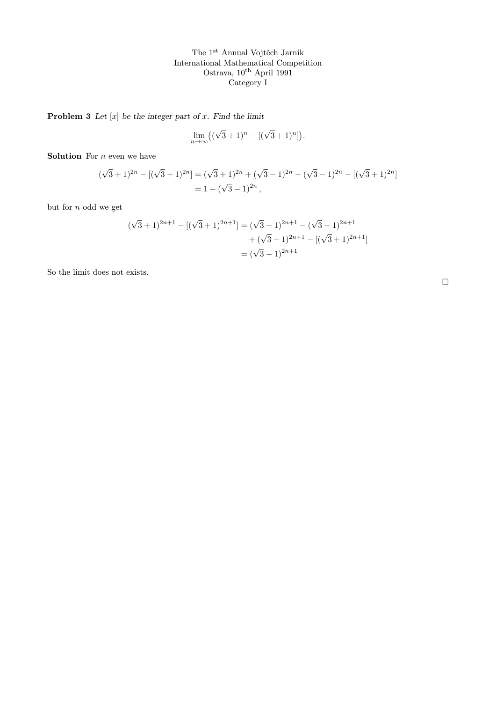The 1st Annual Vojtěch Jarník International Mathematical Competition Ostrava, 10<sup>th</sup> April 1991 Category I

**Problem 3** Let  $[x]$  be the integer part of x. Find the limit

$$
\lim_{n \to \infty} ((\sqrt{3} + 1)^n - [(\sqrt{3} + 1)^n]).
$$

**Solution** For  $n$  even we have

$$
(\sqrt{3}+1)^{2n} - [(\sqrt{3}+1)^{2n}] = (\sqrt{3}+1)^{2n} + (\sqrt{3}-1)^{2n} - (\sqrt{3}-1)^{2n} - [(\sqrt{3}+1)^{2n}]
$$
  
= 1 - (\sqrt{3}-1)^{2n},

but for  $n$  odd we get

$$
(\sqrt{3}+1)^{2n+1} - [(\sqrt{3}+1)^{2n+1}] = (\sqrt{3}+1)^{2n+1} - (\sqrt{3}-1)^{2n+1} + (\sqrt{3}-1)^{2n+1} - [(\sqrt{3}+1)^{2n+1}] = (\sqrt{3}-1)^{2n+1}
$$

So the limit does not exists.